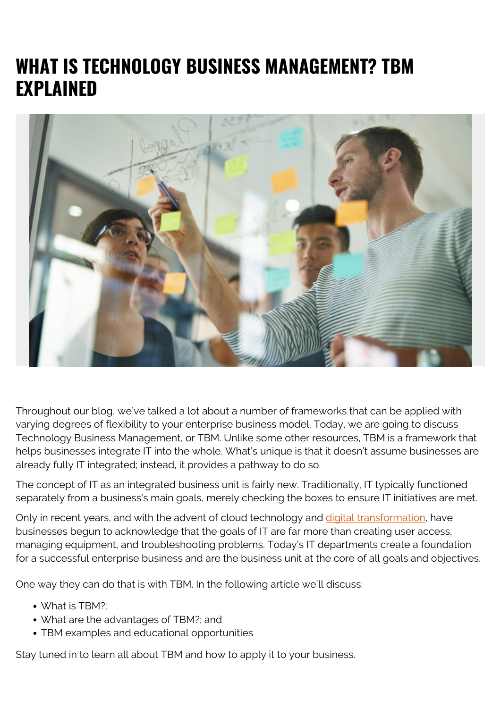## **WHAT IS TECHNOLOGY BUSINESS MANAGEMENT? TBM EXPLAINED**



Throughout our blog, we've talked a lot about a number of frameworks that can be applied with varying degrees of flexibility to your enterprise business model. Today, we are going to discuss Technology Business Management, or TBM. Unlike some other resources, TBM is a framework that helps businesses integrate IT into the whole. What's unique is that it doesn't assume businesses are already fully IT integrated; instead, it provides a pathway to do so.

The concept of IT as an integrated business unit is fairly new. Traditionally, IT typically functioned separately from a business's main goals, merely checking the boxes to ensure IT initiatives are met.

Only in recent years, and with the advent of cloud technology and [digital transformation,](https://blogs.bmc.com/blogs/what-is-digital-transformation/) have businesses begun to acknowledge that the goals of IT are far more than creating user access, managing equipment, and troubleshooting problems. Today's IT departments create a foundation for a successful enterprise business and are the business unit at the core of all goals and objectives.

One way they can do that is with TBM. In the following article we'll discuss:

- What is TBM?:
- What are the advantages of TBM?; and
- TBM examples and educational opportunities

Stay tuned in to learn all about TBM and how to apply it to your business.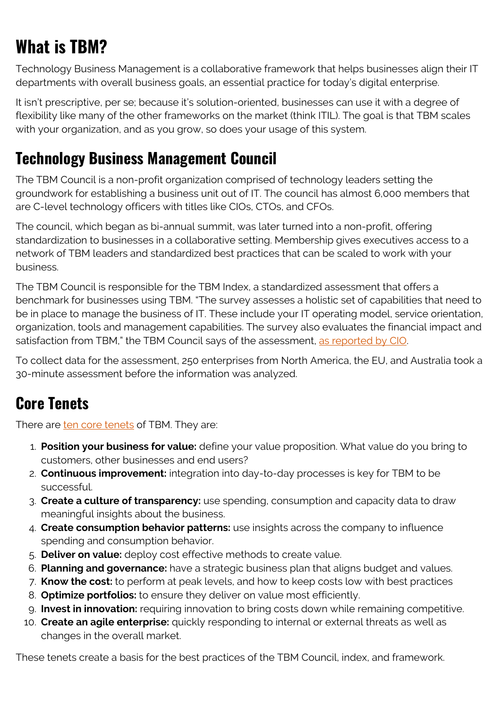# **What is TBM?**

Technology Business Management is a collaborative framework that helps businesses align their IT departments with overall business goals, an essential practice for today's digital enterprise.

It isn't prescriptive, per se; because it's solution-oriented, businesses can use it with a degree of flexibility like many of the other frameworks on the market (think ITIL). The goal is that TBM scales with your organization, and as you grow, so does your usage of this system.

#### **Technology Business Management Council**

The TBM Council is a non-profit organization comprised of technology leaders setting the groundwork for establishing a business unit out of IT. The council has almost 6,000 members that are C-level technology officers with titles like CIOs, CTOs, and CFOs.

The council, which began as bi-annual summit, was later turned into a non-profit, offering standardization to businesses in a collaborative setting. Membership gives executives access to a network of TBM leaders and standardized best practices that can be scaled to work with your business.

The TBM Council is responsible for the TBM Index, a standardized assessment that offers a benchmark for businesses using TBM. "The survey assesses a holistic set of capabilities that need to be in place to manage the business of IT. These include your IT operating model, service orientation, organization, tools and management capabilities. The survey also evaluates the financial impact and satisfaction from TBM," the TBM Council says of the assessment, [as reported by CIO](https://www.cio.com/article/3339658/technology-business-management-tbm-defined.html).

To collect data for the assessment, 250 enterprises from North America, the EU, and Australia took a 30-minute assessment before the information was analyzed.

## **Core Tenets**

There are [ten core tenets](https://www.tbmcouncil.org/learn-tbm) of TBM. They are:

- 1. **Position your business for value:** define your value proposition. What value do you bring to customers, other businesses and end users?
- 2. **Continuous improvement:** integration into day-to-day processes is key for TBM to be successful.
- 3. **Create a culture of transparency:** use spending, consumption and capacity data to draw meaningful insights about the business.
- 4. **Create consumption behavior patterns:** use insights across the company to influence spending and consumption behavior.
- 5. **Deliver on value:** deploy cost effective methods to create value.
- 6. **Planning and governance:** have a strategic business plan that aligns budget and values.
- 7. **Know the cost:** to perform at peak levels, and how to keep costs low with best practices
- 8. **Optimize portfolios:** to ensure they deliver on value most efficiently.
- 9. **Invest in innovation:** requiring innovation to bring costs down while remaining competitive.
- 10. **Create an agile enterprise:** quickly responding to internal or external threats as well as changes in the overall market.

These tenets create a basis for the best practices of the TBM Council, index, and framework.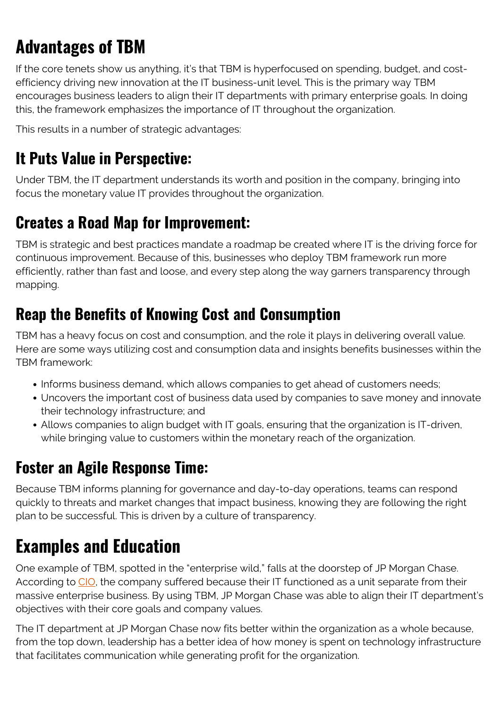# **Advantages of TBM**

If the core tenets show us anything, it's that TBM is hyperfocused on spending, budget, and costefficiency driving new innovation at the IT business-unit level. This is the primary way TBM encourages business leaders to align their IT departments with primary enterprise goals. In doing this, the framework emphasizes the importance of IT throughout the organization.

This results in a number of strategic advantages:

## **It Puts Value in Perspective:**

Under TBM, the IT department understands its worth and position in the company, bringing into focus the monetary value IT provides throughout the organization.

## **Creates a Road Map for Improvement:**

TBM is strategic and best practices mandate a roadmap be created where IT is the driving force for continuous improvement. Because of this, businesses who deploy TBM framework run more efficiently, rather than fast and loose, and every step along the way garners transparency through mapping.

## **Reap the Benefits of Knowing Cost and Consumption**

TBM has a heavy focus on cost and consumption, and the role it plays in delivering overall value. Here are some ways utilizing cost and consumption data and insights benefits businesses within the TBM framework:

- Informs business demand, which allows companies to get ahead of customers needs;
- Uncovers the important cost of business data used by companies to save money and innovate their technology infrastructure; and
- Allows companies to align budget with IT goals, ensuring that the organization is IT-driven, while bringing value to customers within the monetary reach of the organization.

## **Foster an Agile Response Time:**

Because TBM informs planning for governance and day-to-day operations, teams can respond quickly to threats and market changes that impact business, knowing they are following the right plan to be successful. This is driven by a culture of transparency.

## **Examples and Education**

One example of TBM, spotted in the "enterprise wild," falls at the doorstep of JP Morgan Chase. According to [CIO](https://www.cio.com/article/3339658/technology-business-management-tbm-defined.html), the company suffered because their IT functioned as a unit separate from their massive enterprise business. By using TBM, JP Morgan Chase was able to align their IT department's objectives with their core goals and company values.

The IT department at JP Morgan Chase now fits better within the organization as a whole because, from the top down, leadership has a better idea of how money is spent on technology infrastructure that facilitates communication while generating profit for the organization.